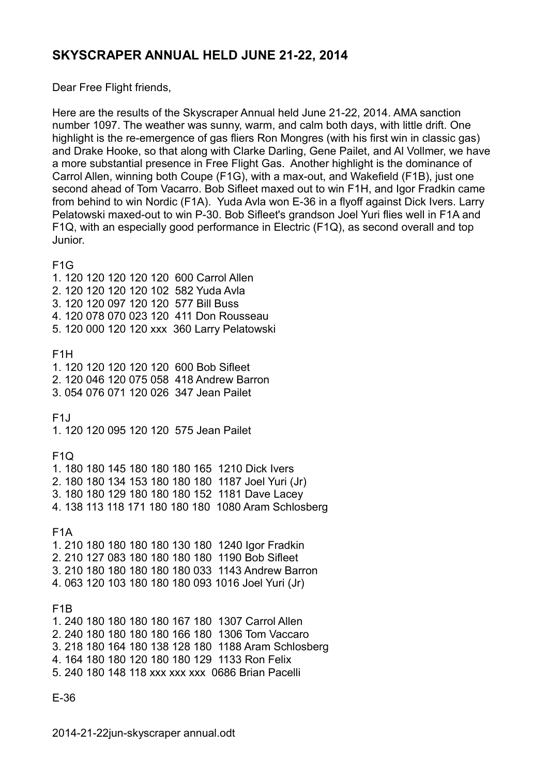## **SKYSCRAPER ANNUAL HELD JUNE 21-22, 2014**

Dear Free Flight friends,

Here are the results of the Skyscraper Annual held June 21-22, 2014. AMA sanction number 1097. The weather was sunny, warm, and calm both days, with little drift. One highlight is the re-emergence of gas fliers Ron Mongres (with his first win in classic gas) and Drake Hooke, so that along with Clarke Darling, Gene Pailet, and Al Vollmer, we have a more substantial presence in Free Flight Gas. Another highlight is the dominance of Carrol Allen, winning both Coupe (F1G), with a max-out, and Wakefield (F1B), just one second ahead of Tom Vacarro. Bob Sifleet maxed out to win F1H, and Igor Fradkin came from behind to win Nordic (F1A). Yuda Avla won E-36 in a flyoff against Dick Ivers. Larry Pelatowski maxed-out to win P-30. Bob Sifleet's grandson Joel Yuri flies well in F1A and F1Q, with an especially good performance in Electric (F1Q), as second overall and top Junior.

E-36